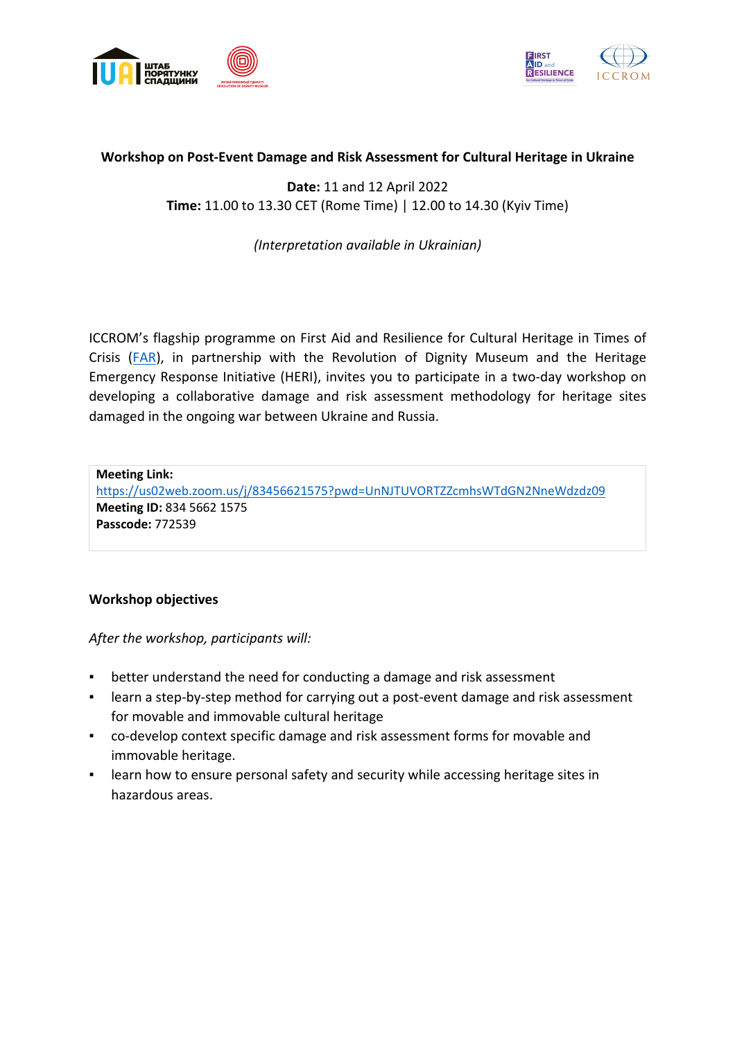



## **Workshop on Post-Event Damage and Risk Assessment for Cultural Heritage in Ukraine**

**Date:** 11 and 12 April 2022 **Time:** 11.00 to 13.30 CET (Rome Time) | 12.00 to 14.30 (Kyiv Time)

## *(Interpretation available in Ukrainian)*

ICCROM's flagship programme on First Aid and Resilience for Cultural Heritage in Times of Crisis (FAR), in partnership with the Revolution of Dignity Museum and the Heritage Emergency Response Initiative (HERI), invites you to participate in a two-day workshop on developing a collaborative damage and risk assessment methodology for heritage sites damaged in the ongoing war between Ukraine and Russia.

**Meeting Link:** https://us02web.zoom.us/j/83456621575?pwd=UnNJTUVORTZZcmhsWTdGN2NneWdzdz09 **Meeting ID:** 834 5662 1575 **Passcode:** 772539

## **Workshop objectives**

*After the workshop, participants will:*

- better understand the need for conducting a damage and risk assessment
- learn a step-by-step method for carrying out a post-event damage and risk assessment for movable and immovable cultural heritage
- co-develop context specific damage and risk assessment forms for movable and immovable heritage.
- learn how to ensure personal safety and security while accessing heritage sites in hazardous areas.